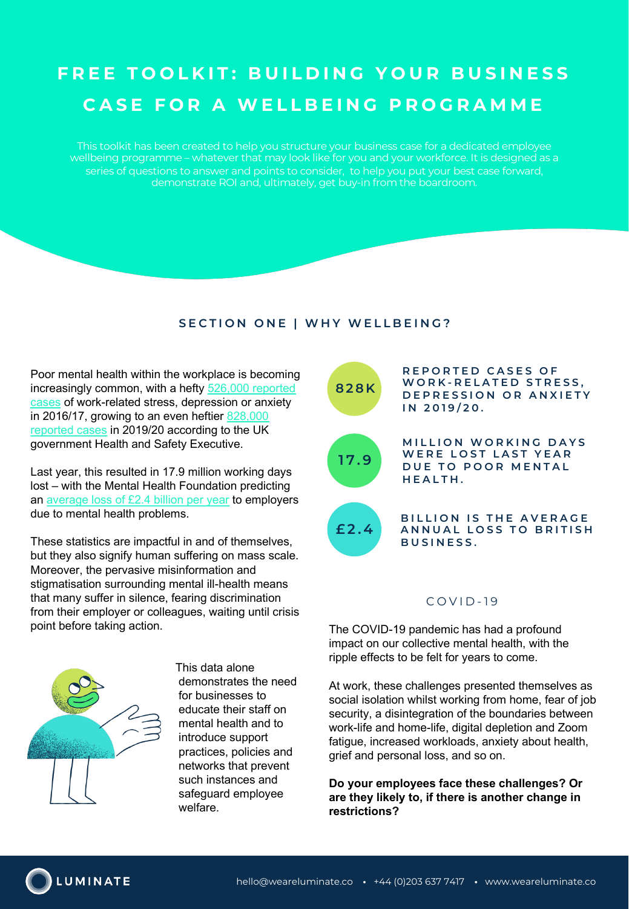# **FREE TOOLKIT: BUILDING YOUR BUSINESS CASE FOR A WELLBEING PROGRAMME**

This toolkit has been created to help you structure your business case for a dedicated employee wellbeing programme – whatever that may look like for you and your workforce. It is designed as a series of questions to answer and points to consider, to help you put your best case forward, demonstrate ROI and, ultimately, get buy-in from the boardroom.

# **SECTION ONE | WHY WELLBEING?**

Poor mental health within the workplace is becoming [increasingly common, with a hefty 526,000 reported](https://www.kent.ac.uk/safety/oh/Documents/HSE%20MH%20Stats%202017.pdf)  cases of work-related stress, depression or anxiety [in 2016/17, growing to an even heftier](https://www.hse.gov.uk/statistics/causdis/stress.pdf) 828,000 reported cases in 2019/20 according to the UK government Health and Safety Executive.

Last year, this resulted in 17.9 million working days lost – [with the Mental Health Foundatio](https://www.mentalhealth.org.uk/our-work/mental-health-workplace)n predicting an average loss of £2.4 billion per year to employers due to mental health problems.

These statistics are impactful in and of themselves, but they also signify human suffering on mass scale. Moreover, the pervasive misinformation and stigmatisation surrounding mental ill-health means that many suffer in silence, fearing discrimination from their employer or colleagues, waiting until crisis point before taking action.



This data alone demonstrates the need for businesses to educate their staff on mental health and to introduce support practices, policies and networks that prevent such instances and safeguard employee welfare.



## $COVID-19$

The COVID-19 pandemic has had a profound impact on our collective mental health, with the ripple effects to be felt for years to come.

At work, these challenges presented themselves as social isolation whilst working from home, fear of job security, a disintegration of the boundaries between work-life and home-life, digital depletion and Zoom fatigue, increased workloads, anxiety about health, grief and personal loss, and so on.

**Do your employees face these challenges? Or are they likely to, if there is another change in restrictions?**

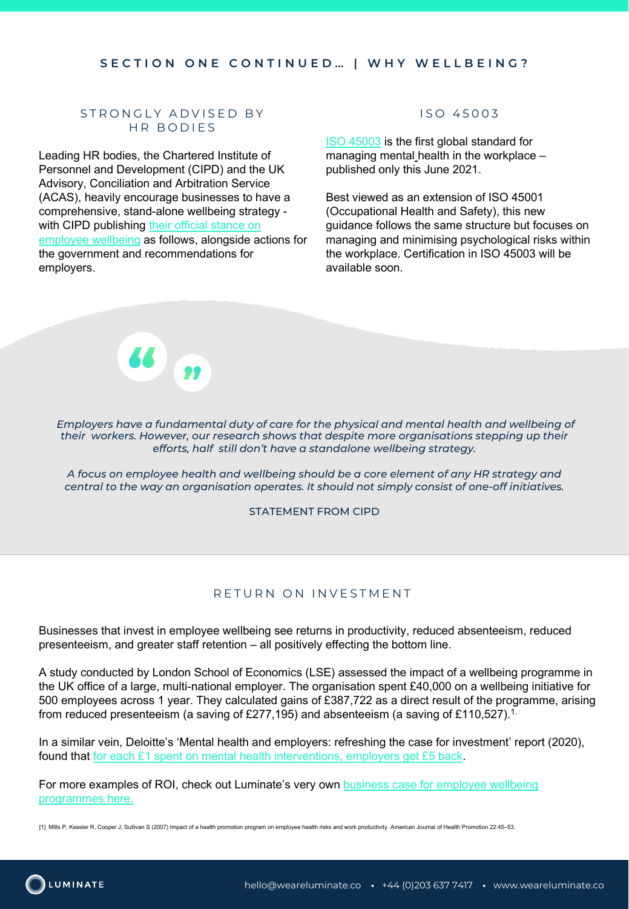#### **SECTION ONE CONTINUED… | WHY WELLBEING?**

### STRONGLY ADVISED BY HR BODIES

Leading HR bodies, the Chartered Institute of Personnel and Development (CIPD) and the UK Advisory, Conciliation and Arbitration Service (ACAS), heavily encourage businesses to have a comprehensive, stand-alone wellbeing strategy [with CIPD publishing their official stance on](https://www.cipd.co.uk/news-views/viewpoint/employee-health-well-being) employee wellbeing as follows, alongside actions for the government and recommendations for employers.

## ISO 45003

ISO 45003 is the first global standard for managing mental health in the workplace – published only this June 2021.

Best viewed as an extension of ISO 45001 (Occupational Health and Safety), this new guidance follows the same structure but focuses on managing and minimising psychological risks within the workplace. Certification in ISO 45003 will be available soon.

*Employers have a fundamental duty of care for the physical and mental health and wellbeing of their workers. However, our research shows that despite more organisations stepping up their efforts, half still don't have a standalone wellbeing strategy.*

*A focus on employee health and wellbeing should be a core element of any HR strategy and central to the way an organisation operates. It should not simply consist of one-off initiatives.*

STATEMENT FROM CIPD

#### RETURN ON INVESTMENT

Businesses that invest in employee wellbeing see returns in productivity, reduced absenteeism, reduced presenteeism, and greater staff retention – all positively effecting the bottom line.

A study conducted by London School of Economics (LSE) assessed the impact of a wellbeing programme in the UK office of a large, multi-national employer. The organisation spent £40,000 on a wellbeing initiative for 500 employees across 1 year. They calculated gains of £387,722 as a direct result of the programme, arising from reduced presenteeism (a saving of £277,195) and absenteeism (a saving of £110,527).1.

In a simila[r vein, Deloitte's 'Mental health and employers: refreshing the case for inv](https://www2.deloitte.com/uk/en/pages/annual-report-2020/stories/it-pays-to-support-mental-health-at-work.html)estment' report (2020), found that for each £1 spent on mental health interventions, employers get £5 back.

[For more examples of ROI, check out Luminate's very own business case for employee wellbeing](https://www.weareluminate.co/the-business-case-for-wellbeing-programmes/) programmes here.

[1] Mills P, Kessler R, Cooper J, Sullivan S (2007) Impact of a health promotion program on employee health risks and work productivity. American Journal of Health Promotion 22:45–53.

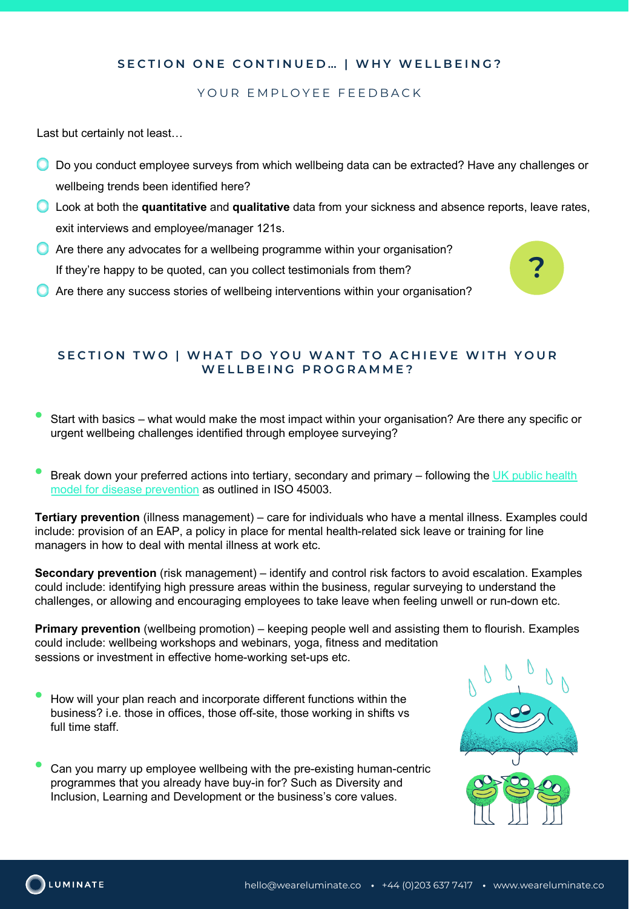# **SECTION ONE CONTINUED… | WHY WELLBEING?**

## YOUR EMPLOYEE FEEDBACK

Last but certainly not least…

- O Do you conduct employee surveys from which wellbeing data can be extracted? Have any challenges or .wellbeing trends been identified here?
- Look at both the **quantitative** and **qualitative** data from your sickness and absence reports, leave rates, .exit interviews and employee/manager 121s.
- **C** Are there any advocates for a wellbeing programme within your organisation? If they're happy to be quoted, can you collect testimonials from them?
- Are there any success stories of wellbeing interventions within your organisation?

#### **SECTION TWO | WHAT DO YOU WANT TO ACHIEVE WITH YOUR WELLBEING PROGRAMME?**

- Start with basics what would make the most impact within your organisation? Are there any specific or urgent wellbeing challenges identified through employee surveying?
- [Break down your preferred actions into tertiary, secondary and primary –](https://makeadifference.media/mental/ready-for-iso-45003-standard-for-managing-psychological-health-and-safety-at-work/) following the UK public health model for disease prevention as outlined in ISO 45003.

**Tertiary prevention** (illness management) – care for individuals who have a mental illness. Examples could include: provision of an EAP, a policy in place for mental health-related sick leave or training for line managers in how to deal with mental illness at work etc.

**Secondary prevention** (risk management) – identify and control risk factors to avoid escalation. Examples could include: identifying high pressure areas within the business, regular surveying to understand the challenges, or allowing and encouraging employees to take leave when feeling unwell or run-down etc.

**Primary prevention** (wellbeing promotion) – keeping people well and assisting them to flourish. Examples could include: wellbeing workshops and webinars, yoga, fitness and meditation sessions or investment in effective home-working set-ups etc.

• How will your plan reach and incorporate different functions within the business? i.e. those in offices, those off-site, those working in shifts vs full time staff.

• Can you marry up employee wellbeing with the pre-existing human-centric programmes that you already have buy-in for? Such as Diversity and Inclusion, Learning and Development or the business's core values.



**?**